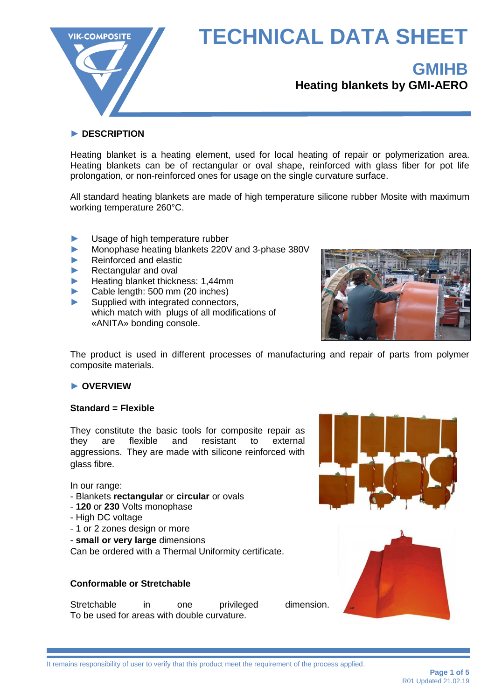

### **GMIHB Heating blankets by GMI-AERO**

#### **► DESCRIPTION**

Heating blanket is a heating element, used for local heating of repair or polymerization area. Heating blankets can be of rectangular or oval shape, reinforced with glass fiber for pot life prolongation, or non-reinforced ones for usage on the single curvature surface.

All standard heating blankets are made of high temperature silicone rubber Mosite with maximum working temperature 260°C.

- **►** Usage of high temperature rubber
- **►** Monophase heating blankets 220V and 3-phase 380V
- **►** Reinforced and elastic
- **►** Rectangular and oval
- **►** Heating blanket thickness: 1,44mm
- **►** Cable length: 500 mm (20 inches)
- **►** Supplied with integrated connectors, which match with plugs of all modifications of «ANITA» bonding console.



The product is used in different processes of manufacturing and repair of parts from polymer composite materials.

#### **► OVERVIEW**

#### **Standard = Flexible**

They constitute the basic tools for composite repair as they are flexible and resistant to external aggressions. They are made with silicone reinforced with glass fibre.

In our range:

- Blankets **rectangular** or **circular** or ovals
- **120** or **230** Volts monophase
- High DC voltage
- 1 or 2 zones design or more
- **small or very large** dimensions

Can be ordered with a Thermal Uniformity certificate.

#### **Conformable or Stretchable**

Stretchable in one privileged dimension. To be used for areas with double curvature.



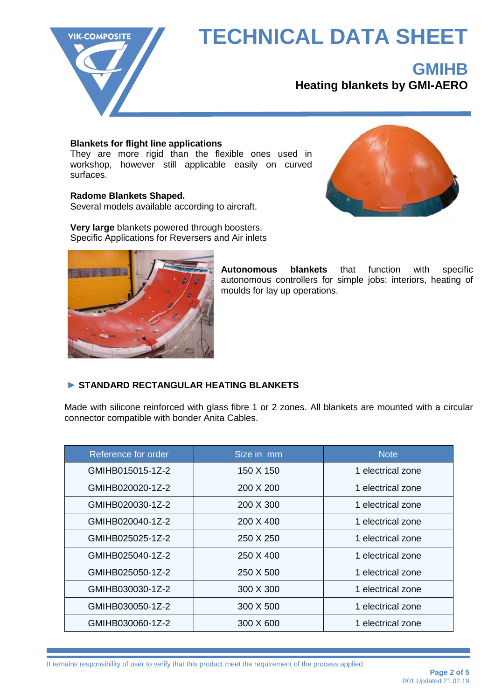

### **GMIHB**

**Heating blankets by GMI-AERO**

#### **Blankets for flight line applications**

They are more rigid than the flexible ones used in workshop, however still applicable easily on curved surfaces.

#### **Radome Blankets Shaped.**

Several models available according to aircraft.



**Very large** blankets powered through boosters. Specific Applications for Reversers and Air inlets



**Autonomous blankets** that function with specific autonomous controllers for simple jobs: interiors, heating of moulds for lay up operations.

#### **► STANDARD RECTANGULAR HEATING BLANKETS**

Made with silicone reinforced with glass fibre 1 or 2 zones. All blankets are mounted with a circular connector compatible with bonder Anita Cables.

| Reference for order | Size in mm | <b>Note</b>       |
|---------------------|------------|-------------------|
| GMIHB015015-1Z-2    | 150 X 150  | 1 electrical zone |
| GMIHB020020-1Z-2    | 200 X 200  | 1 electrical zone |
| GMIHB020030-1Z-2    | 200 X 300  | 1 electrical zone |
| GMIHB020040-1Z-2    | 200 X 400  | 1 electrical zone |
| GMIHB025025-1Z-2    | 250 X 250  | 1 electrical zone |
| GMIHB025040-1Z-2    | 250 X 400  | 1 electrical zone |
| GMIHB025050-1Z-2    | 250 X 500  | 1 electrical zone |
| GMIHB030030-1Z-2    | 300 X 300  | 1 electrical zone |
| GMIHB030050-1Z-2    | 300 X 500  | 1 electrical zone |
| GMIHB030060-1Z-2    | 300 X 600  | 1 electrical zone |

It remains responsibility of user to verify that this product meet the requirement of the process applied.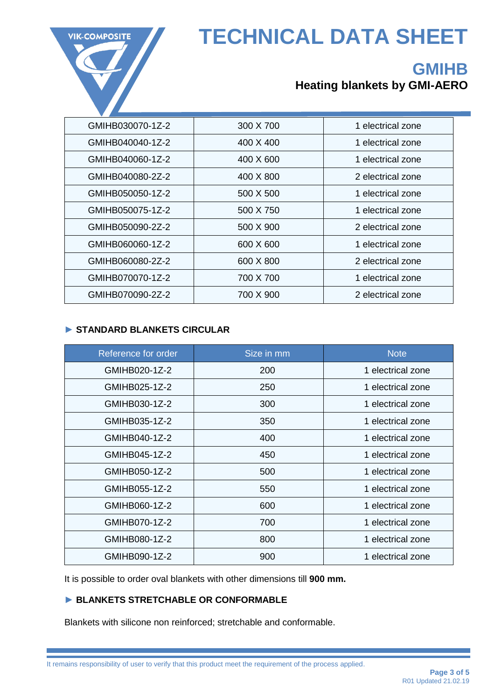

### **GMIHB Heating blankets by GMI-AERO**

| GMIHB030070-1Z-2 | 300 X 700 | 1 electrical zone |
|------------------|-----------|-------------------|
| GMIHB040040-1Z-2 | 400 X 400 | 1 electrical zone |
| GMIHB040060-1Z-2 | 400 X 600 | 1 electrical zone |
| GMIHB040080-2Z-2 | 400 X 800 | 2 electrical zone |
| GMIHB050050-1Z-2 | 500 X 500 | 1 electrical zone |
| GMIHB050075-1Z-2 | 500 X 750 | 1 electrical zone |
| GMIHB050090-2Z-2 | 500 X 900 | 2 electrical zone |
| GMIHB060060-1Z-2 | 600 X 600 | 1 electrical zone |
| GMIHB060080-2Z-2 | 600 X 800 | 2 electrical zone |
| GMIHB070070-1Z-2 | 700 X 700 | 1 electrical zone |
| GMIHB070090-2Z-2 | 700 X 900 | 2 electrical zone |

#### **► STANDARD BLANKETS CIRCULAR**

| Reference for order | Size in mm | <b>Note</b>       |
|---------------------|------------|-------------------|
| GMIHB020-1Z-2       | 200        | 1 electrical zone |
| GMIHB025-1Z-2       | 250        | 1 electrical zone |
| GMIHB030-1Z-2       | 300        | 1 electrical zone |
| GMIHB035-1Z-2       | 350        | 1 electrical zone |
| GMIHB040-1Z-2       | 400        | 1 electrical zone |
| GMIHB045-1Z-2       | 450        | 1 electrical zone |
| GMIHB050-1Z-2       | 500        | 1 electrical zone |
| GMIHB055-1Z-2       | 550        | 1 electrical zone |
| GMIHB060-1Z-2       | 600        | 1 electrical zone |
| GMIHB070-1Z-2       | 700        | 1 electrical zone |
| GMIHB080-1Z-2       | 800        | 1 electrical zone |
| GMIHB090-1Z-2       | 900        | 1 electrical zone |

It is possible to order oval blankets with other dimensions till **900 mm.**

#### **► BLANKETS STRETCHABLE OR CONFORMABLE**

Blankets with silicone non reinforced; stretchable and conformable.

It remains responsibility of user to verify that this product meet the requirement of the process applied.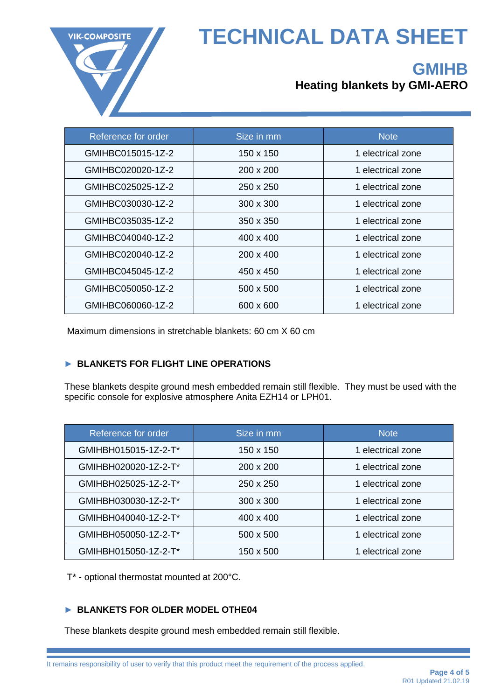

## **GMIHB**

### **Heating blankets by GMI-AERO**

| Reference for order | Size in mm       | <b>Note</b>       |
|---------------------|------------------|-------------------|
| GMIHBC015015-1Z-2   | 150 x 150        | 1 electrical zone |
| GMIHBC020020-1Z-2   | 200 x 200        | 1 electrical zone |
| GMIHBC025025-1Z-2   | 250 x 250        | 1 electrical zone |
| GMIHBC030030-1Z-2   | $300 \times 300$ | 1 electrical zone |
| GMIHBC035035-1Z-2   | 350 x 350        | 1 electrical zone |
| GMIHBC040040-1Z-2   | $400 \times 400$ | 1 electrical zone |
| GMIHBC020040-1Z-2   | $200 \times 400$ | 1 electrical zone |
| GMIHBC045045-1Z-2   | 450 x 450        | 1 electrical zone |
| GMIHBC050050-1Z-2   | 500 x 500        | 1 electrical zone |
| GMIHBC060060-1Z-2   | 600 x 600        | 1 electrical zone |

Maximum dimensions in stretchable blankets: 60 cm X 60 cm

#### **► BLANKETS FOR FLIGHT LINE OPERATIONS**

These blankets despite ground mesh embedded remain still flexible. They must be used with the specific console for explosive atmosphere Anita EZH14 or LPH01.

| Reference for order  | Size in mm       | <b>Note</b>       |
|----------------------|------------------|-------------------|
| GMIHBH015015-1Z-2-T* | 150 x 150        | 1 electrical zone |
| GMIHBH020020-1Z-2-T* | $200 \times 200$ | 1 electrical zone |
| GMIHBH025025-1Z-2-T* | $250 \times 250$ | 1 electrical zone |
| GMIHBH030030-1Z-2-T* | 300 x 300        | 1 electrical zone |
| GMIHBH040040-1Z-2-T* | 400 x 400        | 1 electrical zone |
| GMIHBH050050-1Z-2-T* | 500 x 500        | 1 electrical zone |
| GMIHBH015050-1Z-2-T* | 150 x 500        | 1 electrical zone |

T\* - optional thermostat mounted at 200°C.

#### **► BLANKETS FOR OLDER MODEL OTHE04**

These blankets despite ground mesh embedded remain still flexible.